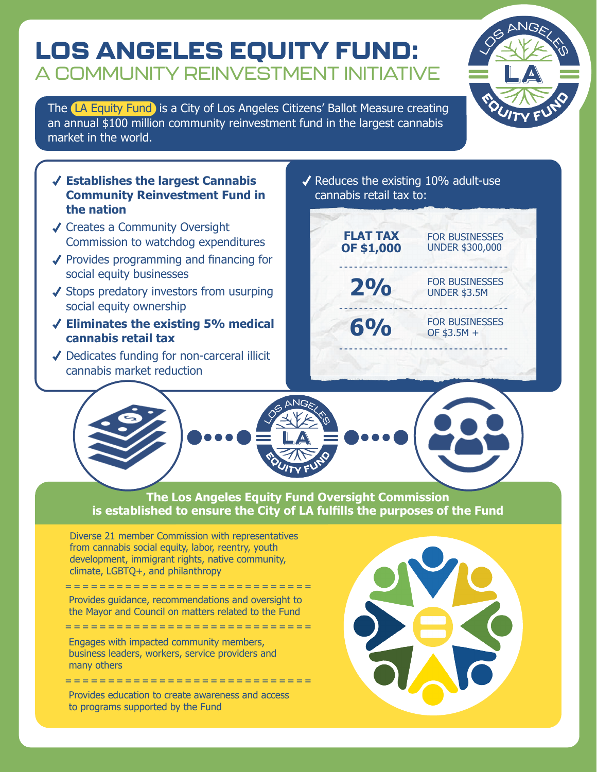## LOS ANGELES EQUITY FUND: A COMMUNITY REINVESTMENT INITIATIVE

The **LA Equity Fund** is a City of Los Angeles Citizens' Ballot Measure creating an annual \$100 million community reinvestment fund in the largest cannabis market in the world.



- ◆ Creates a Community Oversight Commission to watchdog expenditures
- $\sqrt{\ }$  Provides programming and financing for social equity businesses
- $\checkmark$  Stops predatory investors from usurping social equity ownership
- **Eliminates the existing 5% medical cannabis retail tax**
- ◆ Dedicates funding for non-carceral illicit cannabis market reduction

 $\sqrt{\ }$  Reduces the existing 10% adult-use cannabis retail tax to:





#### **The Los Angeles Equity Fund Oversight Commission is established to ensure the City of LA fulfills the purposes of the Fund**

Diverse 21 member Commission with representatives from cannabis social equity, labor, reentry, youth development, immigrant rights, native community, climate, LGBTQ+, and philanthropy

Provides guidance, recommendations and oversight to the Mayor and Council on matters related to the Fund

=============================

Engages with impacted community members, business leaders, workers, service providers and many others =============================

Provides education to create awareness and access to programs supported by the Fund

=============================



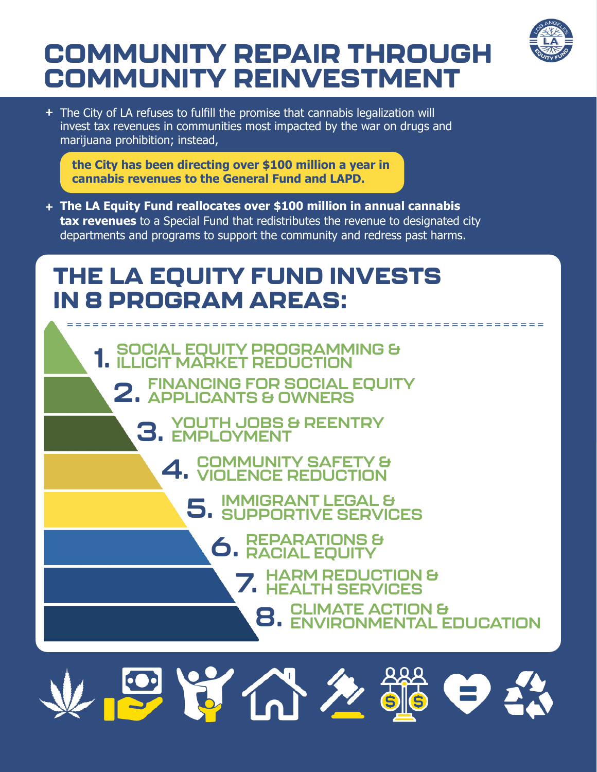# COMMUNITY REPAIR THROUGH COMMUNITY REINVESTMENT



The City of LA refuses to fulfill the promise that cannabis legalization will **+** invest tax revenues in communities most impacted by the war on drugs and marijuana prohibition; instead,

**the City has been directing over \$100 million a year in cannabis revenues to the General Fund and LAPD.**

**The LA Equity Fund reallocates over \$100 million in annual cannabis + tax revenues** to a Special Fund that redistributes the revenue to designated city departments and programs to support the community and redress past harms.

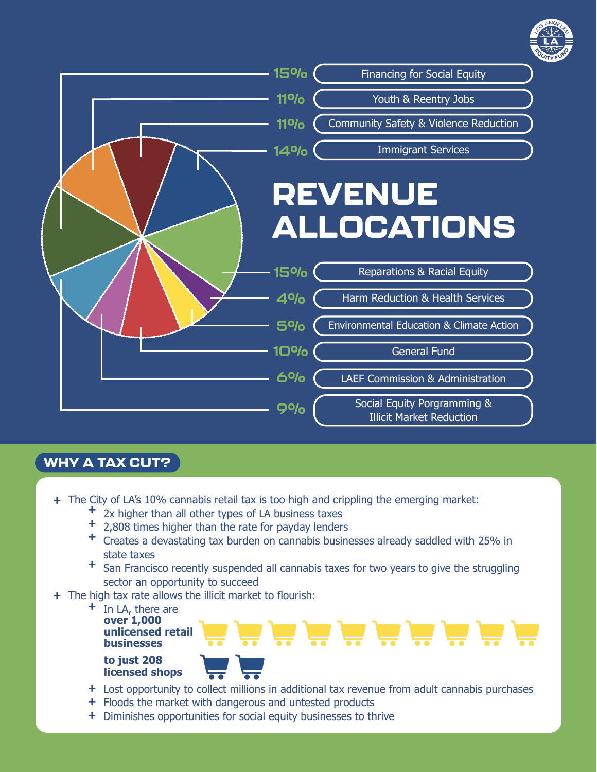



#### WHY A TAX CUT?

- The City of LA's 10% cannabis retail tax is too high and crippling the emerging market: **+**
	- 2x higher than all other types of LA business taxes **+**
	- 2,808 times higher than the rate for payday lenders **+**
	- Creates a devastating tax burden on cannabis businesses already saddled with 25% in **+** state taxes
	- San Francisco recently suspended all cannabis taxes for two years to give the struggling **+** sector an opportunity to succeed
- + The high tax rate allows the illicit market to flourish:
	- In LA, there are **+ over 1,000 unlicensed retail businesses**





Lost opportunity to collect millions in additional tax revenue from adult cannabis purchases **+**

- + Floods the market with dangerous and untested products
- Diminishes opportunities for social equity businesses to thrive **+**